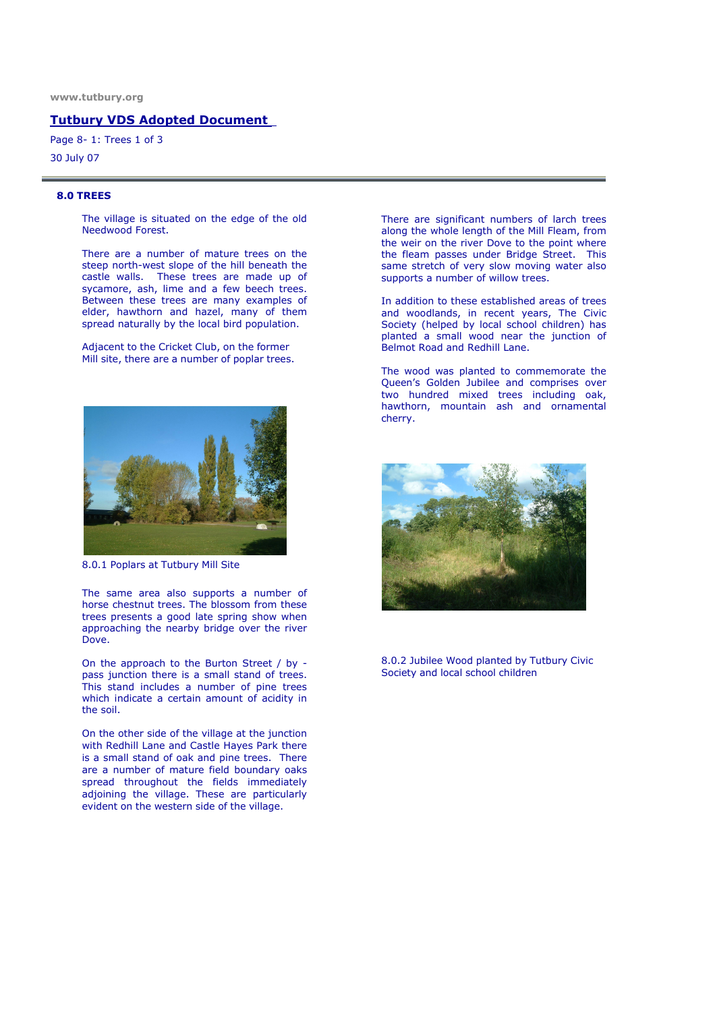### Tutbury VDS Adopted Document

Page 8- 1: Trees 1 of 3

30 July 07

#### 8.0 TREES

The village is situated on the edge of the old Needwood Forest.

There are a number of mature trees on the steep north-west slope of the hill beneath the castle walls. These trees are made up of sycamore, ash, lime and a few beech trees. Between these trees are many examples of elder, hawthorn and hazel, many of them spread naturally by the local bird population.

Adjacent to the Cricket Club, on the former Mill site, there are a number of poplar trees.



8.0.1 Poplars at Tutbury Mill Site

The same area also supports a number of horse chestnut trees. The blossom from these trees presents a good late spring show when approaching the nearby bridge over the river Dove.

On the approach to the Burton Street / by pass junction there is a small stand of trees. This stand includes a number of pine trees which indicate a certain amount of acidity in the soil.

On the other side of the village at the junction with Redhill Lane and Castle Hayes Park there is a small stand of oak and pine trees. There are a number of mature field boundary oaks spread throughout the fields immediately adjoining the village. These are particularly evident on the western side of the village.

There are significant numbers of larch trees along the whole length of the Mill Fleam, from the weir on the river Dove to the point where the fleam passes under Bridge Street. This same stretch of very slow moving water also supports a number of willow trees.

In addition to these established areas of trees and woodlands, in recent years, The Civic Society (helped by local school children) has planted a small wood near the junction of Belmot Road and Redhill Lane.

The wood was planted to commemorate the Queen's Golden Jubilee and comprises over two hundred mixed trees including oak, hawthorn, mountain ash and ornamental cherry.



8.0.2 Jubilee Wood planted by Tutbury Civic Society and local school children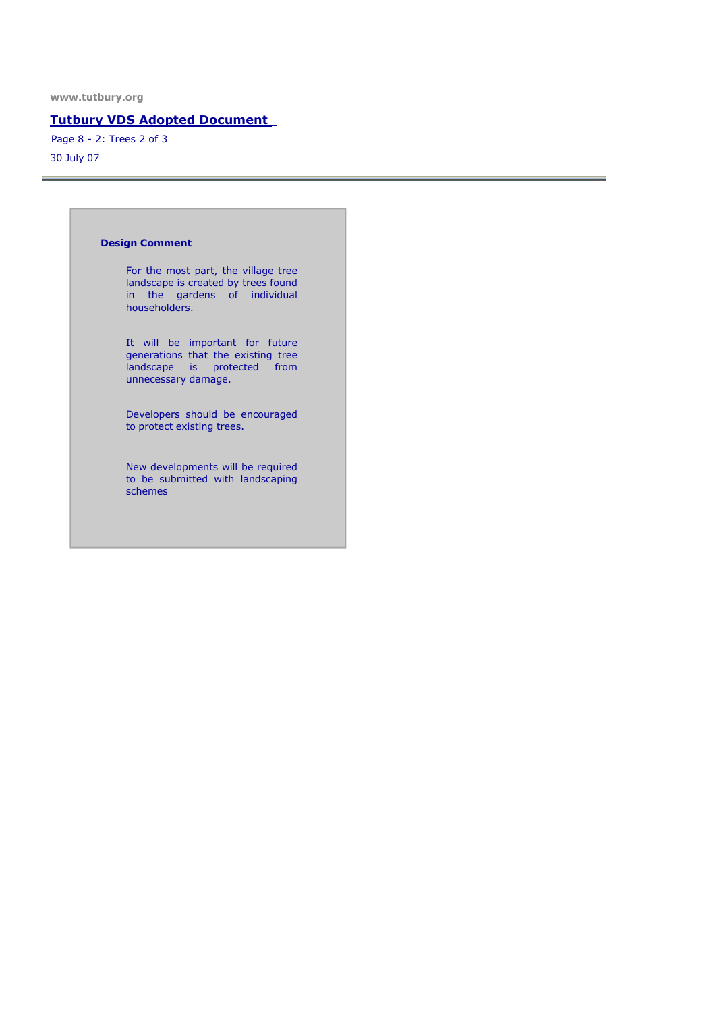## Tutbury VDS Adopted Document

30 July 07 Page 8 - 2: Trees 2 of 3

#### Design Comment

For the most part, the village tree landscape is created by trees found in the gardens of individual householders.

It will be important for future generations that the existing tree landscape is protected from unnecessary damage.

Developers should be encouraged to protect existing trees.

New developments will be required to be submitted with landscaping schemes